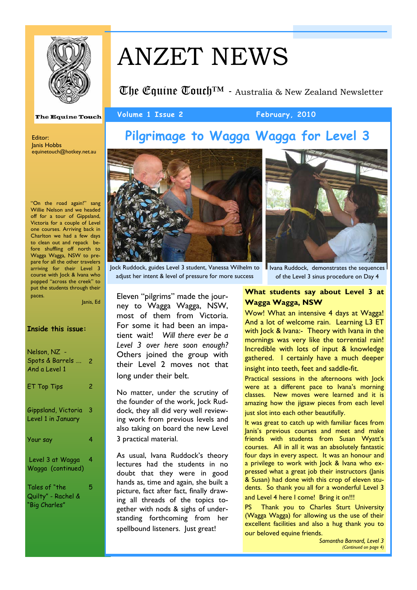

# ANZET NEWS

Volume 1 Issue 2 February, 2010

**The Equine Touch**<sup> $TM$ </sup> - Australia & New Zealand Newsletter

**The Equine Touch** 

# **Pilgrimage to Wagga Wagga for Level 3**

Editor: Janis Hobbs equinetouch@hotkey.net.au

"On the road again!" sang Willie Nelson and we headed off for a tour of Gippsland, Victoria for a couple of Level one courses. Arriving back in Charlton we had a few days to clean out and repack before shuffling off north to Wagga Wagga, NSW to prepare for all the other travelers arriving for their Level 3 course with Jock & Ivana who popped "across the creek" to put the students through their paces.

Janis, Ed

### **Inside this issue:**

| Nelson, NZ -<br>Spots & Barrels<br>And a Level 1     | 2 |
|------------------------------------------------------|---|
| <b>ET Top Tips</b>                                   | 2 |
| Gippsland, Victoria<br>Level 1 in January            | 3 |
| Your say                                             | 4 |
| Level 3 at Wagga<br>Wagga (continued)                | 4 |
| Tales of "the<br>Quilty" - Rachel &<br>"Big Charles" | 5 |



adjust her intent & level of pressure for more success

Eleven "pilgrims" made the journey to Wagga Wagga, NSW, most of them from Victoria. For some it had been an impatient wait! *Will there ever be a Level 3 over here soon enough?*  Others joined the group with their Level 2 moves not that long under their belt.

No matter, under the scrutiny of the founder of the work, Jock Ruddock, they all did very well reviewing work from previous levels and also taking on board the new Level 3 practical material.

As usual, Ivana Ruddock's theory lectures had the students in no doubt that they were in good hands as, time and again, she built a picture, fact after fact, finally drawing all threads of the topics together with nods & sighs of understanding forthcoming from her spellbound listeners. Just great!



Jock Ruddock, guides Level 3 student, Vanessa Wilhelm to

#### I Ivana Ruddock, demonstrates the sequences of the Level 3 sinus procedure on Day 4

## **What students say about Level 3 at Wagga Wagga, NSW**

Wow! What an intensive 4 days at Wagga! And a lot of welcome rain. Learning L3 ET with Jock & Ivana:- Theory with Ivana in the mornings was very like the torrential rain! Incredible with lots of input & knowledge gathered. I certainly have a much deeper insight into teeth, feet and saddle-fit.

Practical sessions in the afternoons with Jock were at a different pace to Ivana's morning classes. New moves were learned and it is amazing how the jigsaw pieces from each level just slot into each other beautifully.

It was great to catch up with familiar faces from Janis's previous courses and meet and make friends with students from Susan Wyatt's courses. All in all it was an absolutely fantastic four days in every aspect. It was an honour and a privilege to work with Jock & Ivana who expressed what a great job their instructors (Janis & Susan) had done with this crop of eleven students. So thank you all for a wonderful Level 3 and Level 4 here I come! Bring it on!!!

PS Thank you to Charles Sturt University (Wagga Wagga) for allowing us the use of their excellent facilities and also a hug thank you to our beloved equine friends.

> *Samantha Barnard, Level 3 (Continued on page 4)*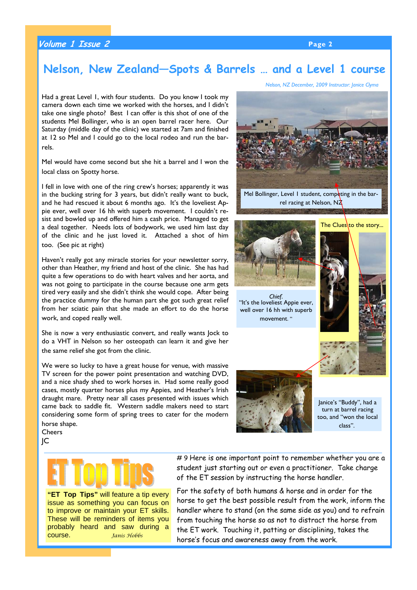## **Volume 1 Issue 2 Page 2**

## **Nelson, New Zealand—Spots & Barrels … and a Level 1 course**

Had a great Level 1, with four students. Do you know I took my camera down each time we worked with the horses, and I didn't take one single photo? Best I can offer is this shot of one of the students Mel Bollinger, who is an open barrel racer here. Our Saturday (middle day of the clinic) we started at 7am and finished at 12 so Mel and I could go to the local rodeo and run the barrels.

Mel would have come second but she hit a barrel and I won the local class on Spotty horse.

I fell in love with one of the ring crew's horses; apparently it was in the bucking string for 3 years, but didn't really want to buck, and he had rescued it about 6 months ago. It's the loveliest Appie ever, well over 16 hh with superb movement. I couldn't resist and bowled up and offered him a cash price. Managed to get a deal together. Needs lots of bodywork, we used him last day of the clinic and he just loved it. Attached a shot of him too. (See pic at right)

Haven't really got any miracle stories for your newsletter sorry, other than Heather, my friend and host of the clinic. She has had quite a few operations to do with heart valves and her aorta, and was not going to participate in the course because one arm gets tired very easily and she didn't think she would cope. After being the practice dummy for the human part she got such great relief from her sciatic pain that she made an effort to do the horse work, and coped really well.

She is now a very enthusiastic convert, and really wants Jock to do a VHT in Nelson so her osteopath can learn it and give her the same relief she got from the clinic.

We were so lucky to have a great house for venue, with massive TV screen for the power point presentation and watching DVD, and a nice shady shed to work horses in. Had some really good cases, mostly quarter horses plus my Appies, and Heather's Irish draught mare. Pretty near all cases presented with issues which came back to saddle fit. Western saddle makers need to start considering some form of spring trees to cater for the modern

horse shape. **Cheers** JC



**"ET Top Tips"** will feature a tip every issue as something you can focus on to improve or maintain your ET skills. These will be reminders of items you probably heard and saw during a course. *Janis Hobbs*

*Nelson, NZ December, 2009 Instructor: Janice Clyma*



*Chief*. "It's the loveliest Appie ever, well over 16 hh with superb movement. "





Janice's "Buddy", had a turn at barrel racing too, and "won the local class".

#9 Here is one important point to remember whether you are a student just starting out or even a practitioner. Take charge of the ET session by instructing the horse handler.

For the safety of both humans & horse and in order for the horse to get the best possible result from the work, inform the handler where to stand (on the same side as you) and to refrain from touching the horse so as not to distract the horse from the ET work. Touching it, patting or disciplining, takes the horse's focus and awareness away from the work.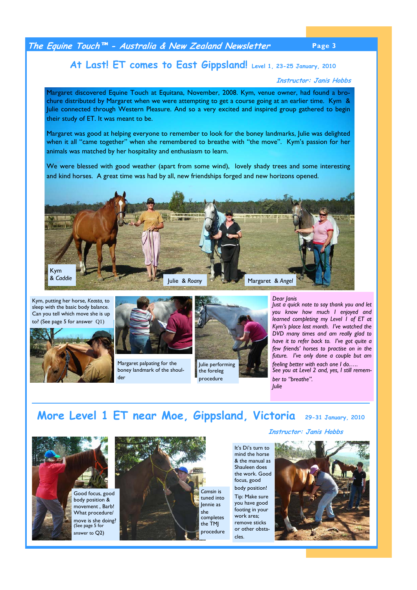## **The Equine Touch™ - Australia & New Zealand Newsletter Page 3**

## **At Last! ET comes to East Gippsland! Level 1, 23-25 January, 2010**

#### **Instructor: Janis Hobbs**

Margaret discovered Equine Touch at Equitana, November, 2008. Kym, venue owner, had found a brochure distributed by Margaret when we were attempting to get a course going at an earlier time. Kym & Julie connected through Western Pleasure. And so a very excited and inspired group gathered to begin their study of ET. It was meant to be.

Margaret was good at helping everyone to remember to look for the boney landmarks, Julie was delighted when it all "came together" when she remembered to breathe with "the move". Kym's passion for her animals was matched by her hospitality and enthusiasm to learn.

We were blessed with good weather (apart from some wind), lovely shady trees and some interesting and kind horses. A great time was had by all, new friendships forged and new horizons opened.



Kym, putting her horse, *Keasta,* to sleep with the basic body balance. Can you tell which move she is up to? (See page 5 for answer O1)





Margaret palpating for the boney landmark of the shoulder



procedure

*Dear Janis* 

*Julie* 

*Just a quick note to say thank you and let you know how much I enjoyed and learned completing my Level 1 of ET at Kym's place last month. I've watched the DVD many times and am really glad to have it to refer back to. I've got quite a few friends' horses to practise on in the future. I've only done a couple but am feeling better with each one I do.…. See you at Level 2 and, yes, I still remember to "breathe".* 

**More Level 1 ET near Moe, Gippsland, Victoria 29-31 January, 2010** 



Good focus, good body position & movement , Barb! What procedure/ move is she doing? (See page 5 for answer to Q2)



*Camsin* is tuned into Jennie as she completes the TMJ procedure **Instructor: Janis Hobbs**

It's Di's turn to mind the horse & the manual as Shauleen does the work. Good focus, good body position!

Tip: Make sure you have good footing in your work area; remove sticks or other obstacles.

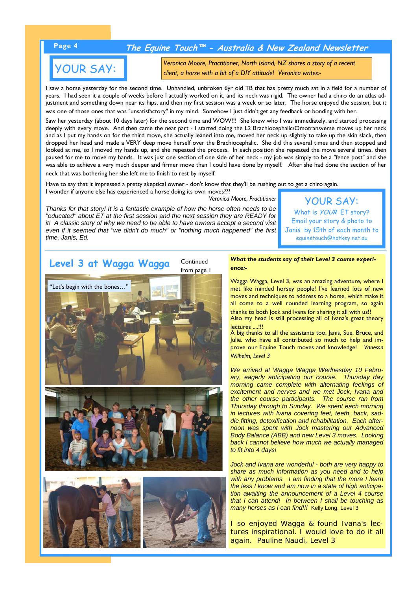## **Page 4 The Equine Touch™ - Australia & New Zealand Newsletter**

# YOUR SAY:

*Veronica Moore, Practitioner, North Island, NZ shares a story of a recent client, a horse with a bit of a DIY attitude! Veronica writes:-* 

I saw a horse yesterday for the second time. Unhandled, unbroken 6yr old TB that has pretty much sat in a field for a number of years. I had seen it a couple of weeks before I actually worked on it, and its neck was rigid. The owner had a chiro do an atlas adjustment and something down near its hips, and then my first session was a week or so later. The horse enjoyed the session, but it was one of those ones that was "unsatisfactory" in my mind. Somehow I just didn't get any feedback or bonding with her.

Saw her yesterday (about 10 days later) for the second time and WOW!!! She knew who I was immediately, and started processing deeply with every move. And then came the neat part - I started doing the L2 Brachiocephalic/Omotransverse moves up her neck and as I put my hands on for the third move, she actually leaned into me, moved her neck up slightly to take up the skin slack, then dropped her head and made a VERY deep move herself over the Brachiocephalic. She did this several times and then stopped and looked at me, so I moved my hands up, and she repeated the process. In each position she repeated the move several times, then paused for me to move my hands. It was just one section of one side of her neck - my job was simply to be a "fence post" and she was able to achieve a very much deeper and firmer move than I could have done by myself. After she had done the section of her neck that was bothering her she left me to finish to rest by myself.

Have to say that it impressed a pretty skeptical owner - don't know that they'll be rushing out to get a chiro again. I wonder if anyone else has experienced a horse doing its own moves???

*Veronica Moore, Practitioner* 

*Thanks for that story! It is a fantastic example of how the horse often needs to be "educated" about ET at the first session and the next session they are READY for it! A classic story of why we need to be able to have owners accept a second visit even if it seemed that "we didn't do much" or "nothing much happened" the first time. Janis, Ed.*

YOUR SAY: What is *YOUR* ET story? Email your story & photo to Janis by 15th of each month to equinetouch@hotkey.net.au



*What the students say of their Level 3 course experience:-* 

Wagga Wagga, Level 3, was an amazing adventure, where I met like minded horsey people! I've learned lots of new moves and techniques to address to a horse, which make it all come to a well rounded learning program, so again

thanks to both Jock and Ivana for sharing it all with us!! Also my head is still processing all of Ivana's great theory lectures ....!!!

A big thanks to all the assistants too, Janis, Sue, Bruce, and Julie. who have all contributed so much to help and improve our Equine Touch moves and knowledge! *Vanessa Wilhelm, Level 3*

*We arrived at Wagga Wagga Wednesday 10 February, eagerly anticipating our course. Thursday day morning came complete with alternating feelings of excitement and nerves and we met Jock, Ivana and the other course participants. The course ran from Thursday through to Sunday. We spent each morning in lectures with Ivana covering feet, teeth, back, saddle fitting, detoxification and rehabilitation. Each afternoon was spent with Jock mastering our Advanced Body Balance (ABB) and new Level 3 moves. Looking back I cannot believe how much we actually managed to fit into 4 days!*

*Jock and Ivana are wonderful - both are very happy to share as much information as you need and to help with any problems. I am finding that the more I learn the less I know and am now in a state of high anticipation awaiting the announcement of a Level 4 course that I can attend! In between I shall be touching as many horses as I can find!!!* Kelly Long, Level 3

I so enjoyed Wagga & found Ivana's lectures inspirational. I would love to do it all again. *Pauline Naudi, Level 3*